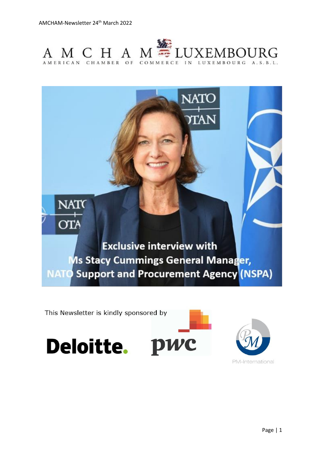



This Newsletter is kindly sponsored by





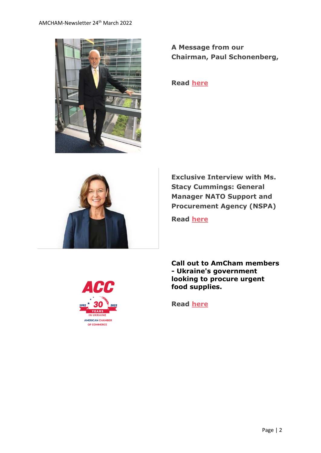

**A Message from our Chairman, Paul Schonenberg,**

**Read [here](https://send.lola.lu/t/d-l-fouuo-tdxlhyduy-r/)**



**Exclusive Interview with Ms. Stacy Cummings: General Manager NATO Support and Procurement Agency (NSPA)** 

**Read [here](https://send.lola.lu/t/d-l-fouuo-tdxlhyduy-y/)**

**Call out to AmCham members - Ukraine's government looking to procure urgent food supplies.**

**Read [here](https://send.lola.lu/t/d-l-fouuo-tdxlhyduy-j/)**

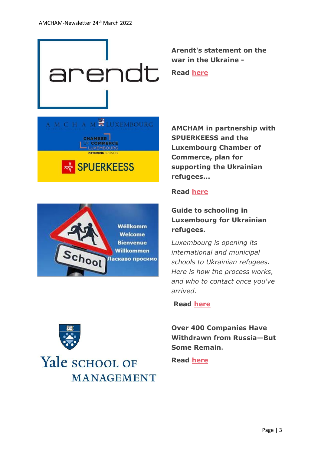

**Arendt's statement on the war in the Ukraine -**

**Read [here](https://send.lola.lu/t/d-l-fouuo-tdxlhyduy-t/)**





**AMCHAM in partnership with SPUERKEESS and the Luxembourg Chamber of Commerce, plan for supporting the Ukrainian refugees...**

### **Read [here](https://send.lola.lu/t/d-l-fouuo-tdxlhyduy-i/)**

# **Guide to schooling in Luxembourg for Ukrainian refugees.**

*Luxembourg is opening its international and municipal schools to Ukrainian refugees. Here is how the process works, and who to contact once you've arrived.*

#### **Read [here](https://send.lola.lu/t/d-l-fouuo-tdxlhyduy-d/)**

**Over 400 Companies Have Withdrawn from Russia—But Some Remain.** 

**Read [here](https://send.lola.lu/t/d-l-fouuo-tdxlhyduy-h/)**

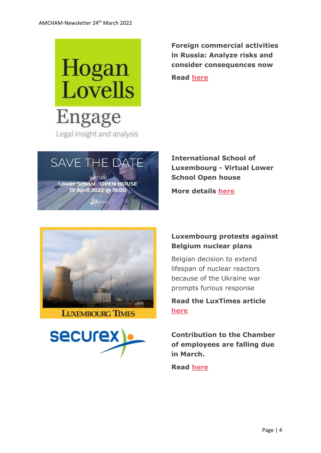

**Foreign commercial activities in Russia: Analyze risks and consider consequences now**

**Read [here](https://send.lola.lu/t/d-l-fouuo-tdxlhyduy-k/)**



**Lower School OPEN HOUSE** 19 April 2022 @ 19.00

**International School of Luxembourg - Virtual Lower School Open house**

**More details [here](https://send.lola.lu/t/d-l-fouuo-tdxlhyduy-u/)**



#### **LUXEMBOURG TIMES**



## **Luxembourg protests against Belgium nuclear plans**

Belgian decision to extend lifespan of nuclear reactors because of the Ukraine war prompts furious response

**Read the LuxTimes article [here](https://send.lola.lu/t/d-l-fouuo-tdxlhyduy-o/)**

**Contribution to the Chamber of employees are falling due in March.**

**Read [here](https://www.amcham.lu/newsletter/securex-contribution-to-the-chamber-of-employees/)**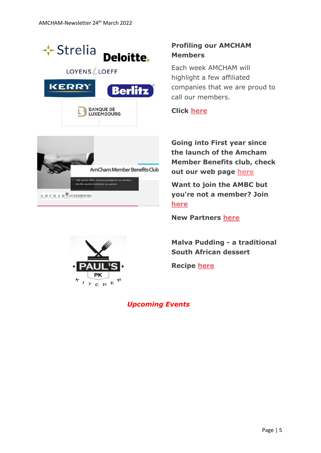

A M C H A M<sup>S</sup>LUXEMBOURG

## **Profiling our AMCHAM Members**

Each week AMCHAM will highlight a few affiliated companies that we are proud to call our members.

#### **Click [here](https://send.lola.lu/t/d-l-fouuo-tdxlhyduy-n/)**

**Going into First year since the launch of the Amcham Member Benefits club, check out our web page [here](https://www.amcham.lu/amcham-benefits-club/)**

**Want to join the AMBC but you're not a member? Join [here](https://www.amcham.lu/amcham-benefits-club/ambc-card-for-non-members/)**

**New Partners [here](https://send.lola.lu/t/d-l-fouuo-tdxlhyduy-m/)**

**Malva Pudding - a traditional South African dessert**

**Recipe [here](https://send.lola.lu/t/d-l-fouuo-tdxlhyduy-c/)**

*Upcoming Events*

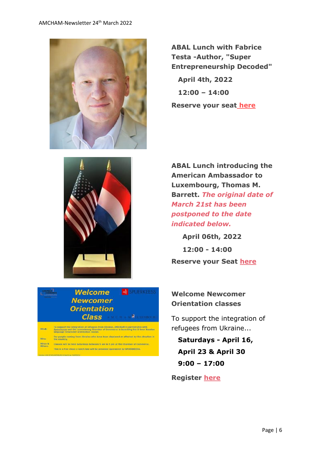

**ABAL Lunch with Fabrice Testa -Author, "Super Entrepreneurship Decoded" April 4th, 2022 12:00 – 14:00 Reserve your seat [here](https://www.amcham.lu/events/abal-lunch-with-fabrice-testa/)**



**ABAL Lunch introducing the American Ambassador to Luxembourg, Thomas M. Barrett.** *The original date of March 21st has been postponed to the date indicated below.*

**April 06th, 2022 12:00 - 14:00 Reserve your Seat [here](https://send.lola.lu/t/d-l-fouuo-tdxlhyduy-a/)**

## **Welcome Newcomer Orientation classes**

To support the integration of refugees from Ukraine...

 **Saturdays - April 16, April 23 & April 30 9:00 – 17:00**

**Register [here](https://send.lola.lu/t/d-l-fouuo-tdxlhyduy-f/)**

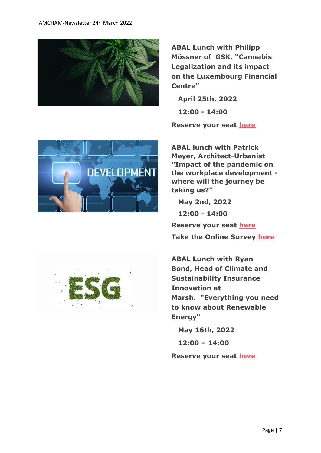

**ABAL Lunch with Philipp Mössner of GSK, "Cannabis Legalization and its impact on the Luxembourg Financial Centre"**

 **April 25th, 2022 12:00 - 14:00**

**Reserve your seat [h](https://send.lola.lu/t/d-l-flkluhk-tdxlhyduy-s/)[ere](https://send.lola.lu/t/d-l-flkluhk-tdxlhyduy-g/)**



**ABAL lunch with Patrick Meyer, Architect-Urbanist "Impact of the pandemic on the workplace development where will the journey be taking us?"**

 **May 2nd, 2022**

 **12:00 - 14:00**

**Reserve your seat [here](https://send.lola.lu/t/d-l-flkluhk-tdxlhyduy-w/) Take the Online Survey [here](https://send.lola.lu/t/d-l-flkluhk-tdxlhyduy-jl/)**



 **May 16th, 2022**

 **12:00 – 14:00**

**Reserve your seat** *[here](https://send.lola.lu/t/d-l-flkluhk-tdxlhyduy-jr/)*